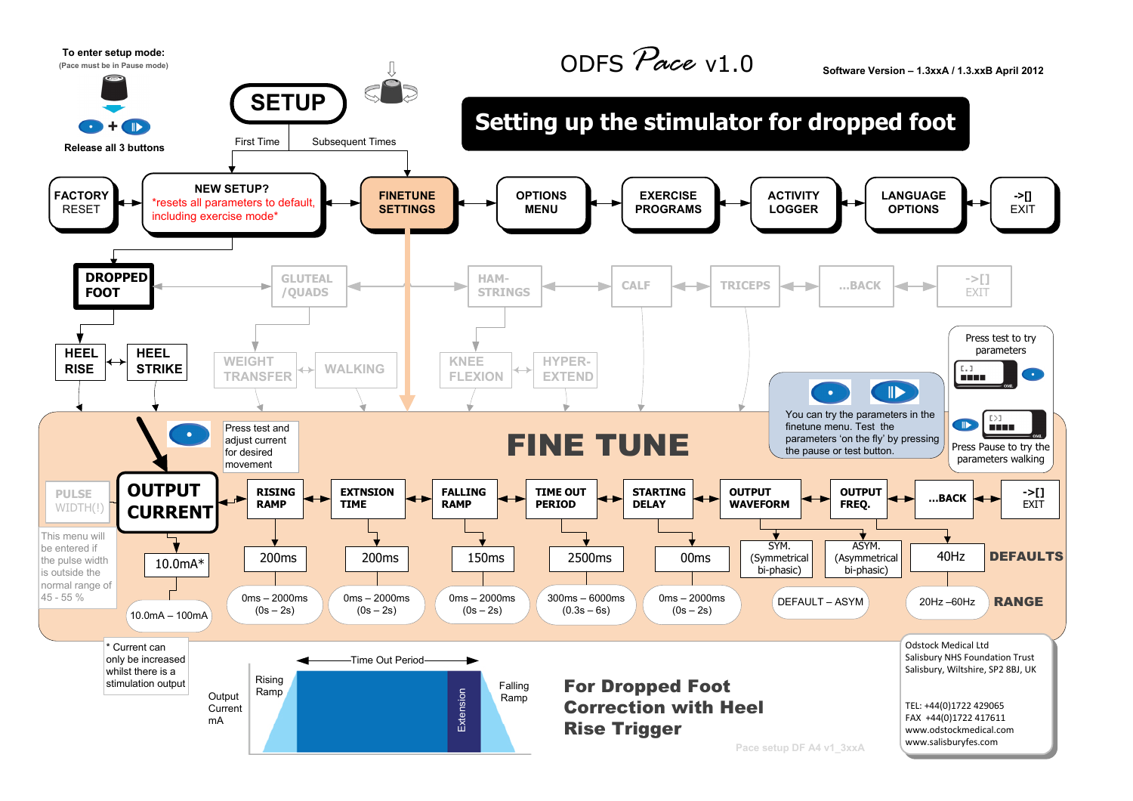